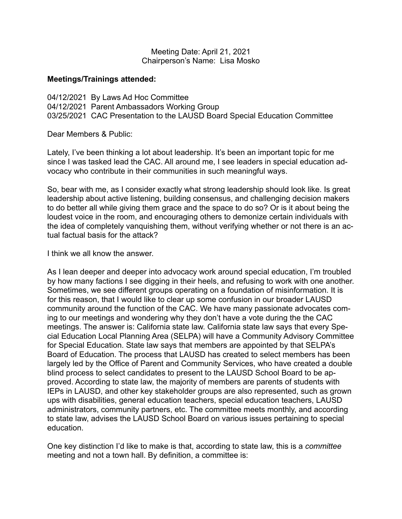## Meeting Date: April 21, 2021 Chairperson's Name: Lisa Mosko

## **Meetings/Trainings attended:**

04/12/2021By Laws Ad Hoc Committee 04/12/2021 Parent Ambassadors Working Group 03/25/2021 CAC Presentation to the LAUSD Board Special Education Committee

Dear Members & Public:

Lately, I've been thinking a lot about leadership. It's been an important topic for me since I was tasked lead the CAC. All around me, I see leaders in special education advocacy who contribute in their communities in such meaningful ways.

So, bear with me, as I consider exactly what strong leadership should look like. Is great leadership about active listening, building consensus, and challenging decision makers to do better all while giving them grace and the space to do so? Or is it about being the loudest voice in the room, and encouraging others to demonize certain individuals with the idea of completely vanquishing them, without verifying whether or not there is an actual factual basis for the attack?

I think we all know the answer.

As I lean deeper and deeper into advocacy work around special education, I'm troubled by how many factions I see digging in their heels, and refusing to work with one another. Sometimes, we see different groups operating on a foundation of misinformation. It is for this reason, that I would like to clear up some confusion in our broader LAUSD community around the function of the CAC. We have many passionate advocates coming to our meetings and wondering why they don't have a vote during the the CAC meetings. The answer is: California state law. California state law says that every Special Education Local Planning Area (SELPA) will have a Community Advisory Committee for Special Education. State law says that members are appointed by that SELPA's Board of Education. The process that LAUSD has created to select members has been largely led by the Office of Parent and Community Services, who have created a double blind process to select candidates to present to the LAUSD School Board to be approved. According to state law, the majority of members are parents of students with IEPs in LAUSD, and other key stakeholder groups are also represented, such as grown ups with disabilities, general education teachers, special education teachers, LAUSD administrators, community partners, etc. The committee meets monthly, and according to state law, advises the LAUSD School Board on various issues pertaining to special education.

One key distinction I'd like to make is that, according to state law, this is a *committee*  meeting and not a town hall. By definition, a committee is: